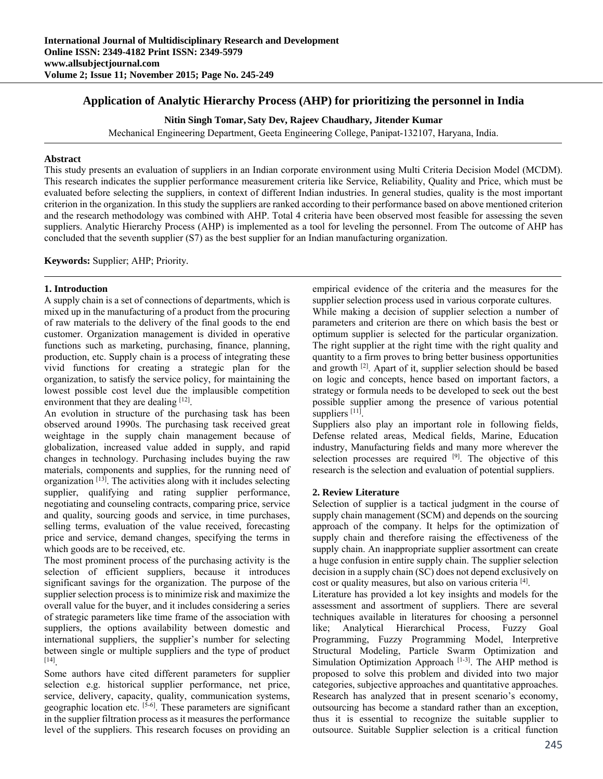# **Application of Analytic Hierarchy Process (AHP) for prioritizing the personnel in India**

**Nitin Singh Tomar, Saty Dev, Rajeev Chaudhary, Jitender Kumar** 

Mechanical Engineering Department, Geeta Engineering College, Panipat-132107, Haryana, India.

# **Abstract**

This study presents an evaluation of suppliers in an Indian corporate environment using Multi Criteria Decision Model (MCDM). This research indicates the supplier performance measurement criteria like Service, Reliability, Quality and Price, which must be evaluated before selecting the suppliers, in context of different Indian industries. In general studies, quality is the most important criterion in the organization. In this study the suppliers are ranked according to their performance based on above mentioned criterion and the research methodology was combined with AHP. Total 4 criteria have been observed most feasible for assessing the seven suppliers. Analytic Hierarchy Process (AHP) is implemented as a tool for leveling the personnel. From The outcome of AHP has concluded that the seventh supplier (S7) as the best supplier for an Indian manufacturing organization.

**Keywords:** Supplier; AHP; Priority*.*

## **1. Introduction**

A supply chain is a set of connections of departments, which is mixed up in the manufacturing of a product from the procuring of raw materials to the delivery of the final goods to the end customer. Organization management is divided in operative functions such as marketing, purchasing, finance, planning, production, etc. Supply chain is a process of integrating these vivid functions for creating a strategic plan for the organization, to satisfy the service policy, for maintaining the lowest possible cost level due the implausible competition environment that they are dealing  $[12]$ .

An evolution in structure of the purchasing task has been observed around 1990s. The purchasing task received great weightage in the supply chain management because of globalization, increased value added in supply, and rapid changes in technology. Purchasing includes buying the raw materials, components and supplies, for the running need of organization [13]. The activities along with it includes selecting supplier, qualifying and rating supplier performance, negotiating and counseling contracts, comparing price, service and quality, sourcing goods and service, in time purchases, selling terms, evaluation of the value received, forecasting price and service, demand changes, specifying the terms in which goods are to be received, etc.

The most prominent process of the purchasing activity is the selection of efficient suppliers, because it introduces significant savings for the organization. The purpose of the supplier selection process is to minimize risk and maximize the overall value for the buyer, and it includes considering a series of strategic parameters like time frame of the association with suppliers, the options availability between domestic and international suppliers, the supplier's number for selecting between single or multiple suppliers and the type of product [14].

Some authors have cited different parameters for supplier selection e.g. historical supplier performance, net price, service, delivery, capacity, quality, communication systems, geographic location etc.  $[5-6]$ . These parameters are significant in the supplier filtration process as it measures the performance level of the suppliers. This research focuses on providing an empirical evidence of the criteria and the measures for the supplier selection process used in various corporate cultures. While making a decision of supplier selection a number of parameters and criterion are there on which basis the best or optimum supplier is selected for the particular organization. The right supplier at the right time with the right quality and quantity to a firm proves to bring better business opportunities and growth [2]. Apart of it, supplier selection should be based on logic and concepts, hence based on important factors, a strategy or formula needs to be developed to seek out the best possible supplier among the presence of various potential suppliers [11].

Suppliers also play an important role in following fields, Defense related areas, Medical fields, Marine, Education industry, Manufacturing fields and many more wherever the selection processes are required [9]. The objective of this research is the selection and evaluation of potential suppliers.

# **2. Review Literature**

Selection of supplier is a tactical judgment in the course of supply chain management (SCM) and depends on the sourcing approach of the company. It helps for the optimization of supply chain and therefore raising the effectiveness of the supply chain. An inappropriate supplier assortment can create a huge confusion in entire supply chain. The supplier selection decision in a supply chain (SC) does not depend exclusively on cost or quality measures, but also on various criteria [4].

Literature has provided a lot key insights and models for the assessment and assortment of suppliers. There are several techniques available in literatures for choosing a personnel like; Analytical Hierarchical Process, Fuzzy Goal Programming, Fuzzy Programming Model, Interpretive Structural Modeling, Particle Swarm Optimization and Simulation Optimization Approach  $[1-3]$ . The AHP method is proposed to solve this problem and divided into two major categories, subjective approaches and quantitative approaches. Research has analyzed that in present scenario's economy, outsourcing has become a standard rather than an exception, thus it is essential to recognize the suitable supplier to outsource. Suitable Supplier selection is a critical function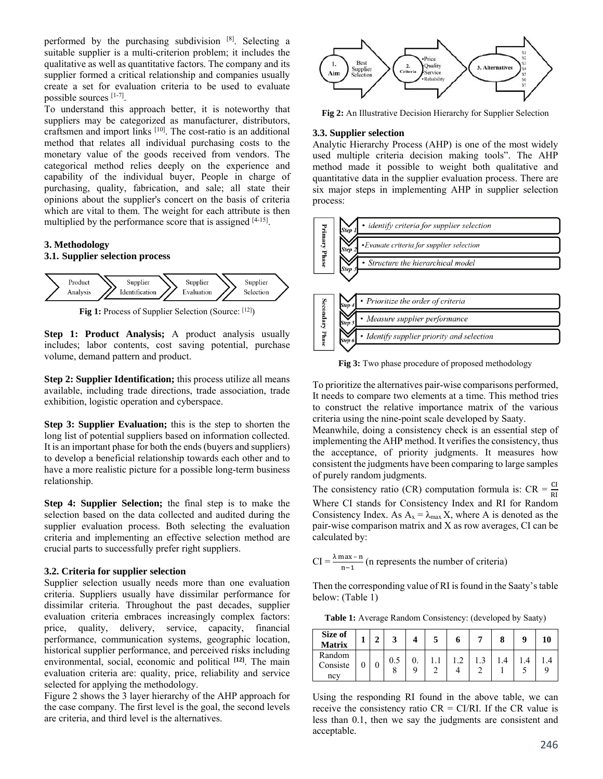performed by the purchasing subdivision  $[8]$ . Selecting a suitable supplier is a multi-criterion problem; it includes the qualitative as well as quantitative factors. The company and its supplier formed a critical relationship and companies usually create a set for evaluation criteria to be used to evaluate possible sources [1-7].

To understand this approach better, it is noteworthy that suppliers may be categorized as manufacturer, distributors, craftsmen and import links [10]. The cost-ratio is an additional method that relates all individual purchasing costs to the monetary value of the goods received from vendors. The categorical method relies deeply on the experience and capability of the individual buyer, People in charge of purchasing, quality, fabrication, and sale; all state their opinions about the supplier's concert on the basis of criteria which are vital to them. The weight for each attribute is then multiplied by the performance score that is assigned [4-15].

## **3. Methodology**

#### **3.1. Supplier selection process**



**Fig 1:** Process of Supplier Selection (Source: [12])

**Step 1: Product Analysis;** A product analysis usually includes; labor contents, cost saving potential, purchase volume, demand pattern and product.

**Step 2: Supplier Identification;** this process utilize all means available, including trade directions, trade association, trade exhibition, logistic operation and cyberspace.

**Step 3: Supplier Evaluation;** this is the step to shorten the long list of potential suppliers based on information collected. It is an important phase for both the ends (buyers and suppliers) to develop a beneficial relationship towards each other and to have a more realistic picture for a possible long-term business relationship.

**Step 4: Supplier Selection;** the final step is to make the selection based on the data collected and audited during the supplier evaluation process. Both selecting the evaluation criteria and implementing an effective selection method are crucial parts to successfully prefer right suppliers.

#### **3.2. Criteria for supplier selection**

Supplier selection usually needs more than one evaluation criteria. Suppliers usually have dissimilar performance for dissimilar criteria. Throughout the past decades, supplier evaluation criteria embraces increasingly complex factors: price, quality, delivery, service, capacity, financial performance, communication systems, geographic location, historical supplier performance, and perceived risks including environmental, social, economic and political **[12]**. The main evaluation criteria are: quality, price, reliability and service selected for applying the methodology.

Figure 2 shows the 3 layer hierarchy of the AHP approach for the case company. The first level is the goal, the second levels are criteria, and third level is the alternatives.



**Fig 2:** An Illustrative Decision Hierarchy for Supplier Selection

# **3.3. Supplier selection**

Analytic Hierarchy Process (AHP) is one of the most widely used multiple criteria decision making tools". The AHP method made it possible to weight both qualitative and quantitative data in the supplier evaluation process. There are six major steps in implementing AHP in supplier selection process:



**Fig 3:** Two phase procedure of proposed methodology

To prioritize the alternatives pair-wise comparisons performed, It needs to compare two elements at a time. This method tries to construct the relative importance matrix of the various criteria using the nine-point scale developed by Saaty.

Meanwhile, doing a consistency check is an essential step of implementing the AHP method. It verifies the consistency, thus the acceptance, of priority judgments. It measures how consistent the judgments have been comparing to large samples of purely random judgments.

The consistency ratio (CR) computation formula is:  $CR = \frac{CI}{RI}$ Where CI stands for Consistency Index and RI for Random Consistency Index. As  $A_x = \lambda_{max} X$ , where A is denoted as the pair-wise comparison matrix and X as row averages, CI can be calculated by:

$$
CI = \frac{\lambda \max - n}{n - 1}
$$
 (n represents the number of criteria)

Then the corresponding value of RI is found in the Saaty's table below: (Table 1)

**Table 1:** Average Random Consistency: (developed by Saaty)

| Size of<br><b>Matrix</b>  |  |     |  | n |  |  |
|---------------------------|--|-----|--|---|--|--|
| Random<br>Consiste<br>ncy |  | 0.5 |  |   |  |  |

Using the responding RI found in the above table, we can receive the consistency ratio  $CR = CI/RI$ . If the CR value is less than 0.1, then we say the judgments are consistent and acceptable.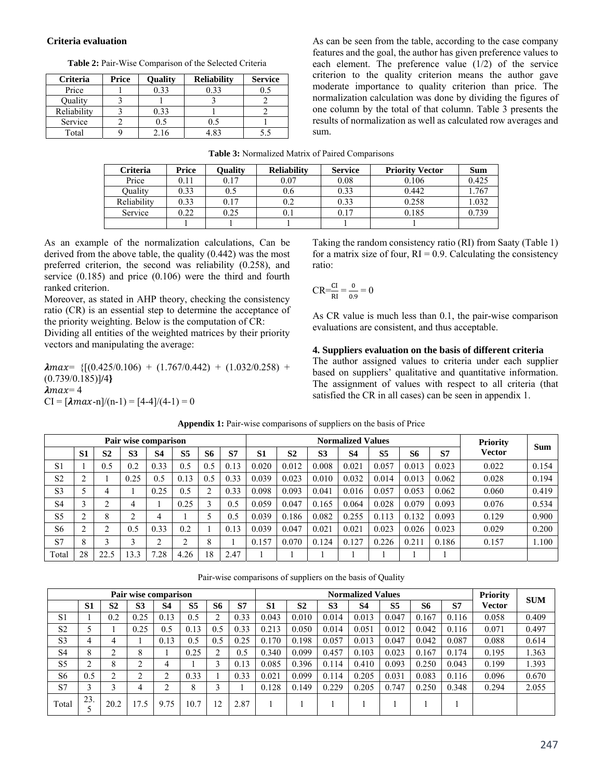### **Criteria evaluation**

**Table 2:** Pair-Wise Comparison of the Selected Criteria

| <b>Criteria</b> | Price | <b>Ouality</b> | <b>Reliability</b> | <b>Service</b> |
|-----------------|-------|----------------|--------------------|----------------|
| Price           |       | 0.33           | 0.33               |                |
| Ouality         |       |                |                    |                |
| Reliability     |       | 0.33           |                    |                |
| Service         |       | 0.5            | 0.5                |                |
| Total           |       | 2.16           | . R3               |                |

As can be seen from the table, according to the case company features and the goal, the author has given preference values to each element. The preference value (1/2) of the service criterion to the quality criterion means the author gave moderate importance to quality criterion than price. The normalization calculation was done by dividing the figures of one column by the total of that column. Table 3 presents the results of normalization as well as calculated row averages and sum.

| Table 3: Normalized Matrix of Paired Comparisons |  |
|--------------------------------------------------|--|
|--------------------------------------------------|--|

| Criteria    | Price | <b>Ouality</b> | <b>Reliability</b> | <b>Service</b> | <b>Priority Vector</b> | <b>Sum</b> |
|-------------|-------|----------------|--------------------|----------------|------------------------|------------|
| Price       | 0.11  | 0.17           | 0.07               | 0.08           | 0.106                  | 0.425      |
| Ouality     | 0.33  | 0.5            | 0.6                | 0.33           | 0.442                  | .767       |
| Reliability | 0.33  | 0.17           | 0.2                | 0.33           | 0.258                  | 1.032      |
| Service     | 0.22  | 0.25           | U. I               | 0.17           | 0.185                  | 0.739      |
|             |       |                |                    |                |                        |            |

As an example of the normalization calculations, Can be derived from the above table, the quality (0.442) was the most preferred criterion, the second was reliability (0.258), and service (0.185) and price (0.106) were the third and fourth ranked criterion.

Moreover, as stated in AHP theory, checking the consistency ratio (CR) is an essential step to determine the acceptance of the priority weighting. Below is the computation of CR:

Dividing all entities of the weighted matrices by their priority vectors and manipulating the average:

 $\lambda max = \{[(0.425/0.106) + (1.767/0.442) + (1.032/0.258) +$ (0.739/0.185)]**/**4**}**   $\lambda$ max=4  $CI = [\lambda max-n]/(n-1) = [4-4]/(4-1) = 0$ 

Taking the random consistency ratio (RI) from Saaty (Table 1) for a matrix size of four,  $RI = 0.9$ . Calculating the consistency ratio:

$$
CR = \frac{CI}{RI} = \frac{0}{0.9} = 0
$$

As CR value is much less than 0.1, the pair-wise comparison evaluations are consistent, and thus acceptable.

# **4. Suppliers evaluation on the basis of different criteria**

The author assigned values to criteria under each supplier based on suppliers' qualitative and quantitative information. The assignment of values with respect to all criteria (that satisfied the CR in all cases) can be seen in appendix 1.

| Pair wise comparison |                |                |                |           |                |              |      |                |                |                | <b>Normalized Values</b> |                |       |       | <b>Priority</b> |            |
|----------------------|----------------|----------------|----------------|-----------|----------------|--------------|------|----------------|----------------|----------------|--------------------------|----------------|-------|-------|-----------------|------------|
|                      | S <sub>1</sub> | S <sub>2</sub> | S <sub>3</sub> | <b>S4</b> | S <sub>5</sub> | <b>S6</b>    | S7   | S <sub>1</sub> | S <sub>2</sub> | S <sub>3</sub> | <b>S4</b>                | S <sub>5</sub> | S6    | S7    | <b>Vector</b>   | <b>Sum</b> |
| S <sub>1</sub>       |                | 0.5            | 0.2            | 0.33      | 0.5            | 0.5          | 0.13 | 0.020          | 0.012          | 0.008          | 0.021                    | 0.057          | 0.013 | 0.023 | 0.022           | 0.154      |
| S <sub>2</sub>       |                |                | 0.25           | 0.5       | 0.13           | 0.5          | 0.33 | 0.039          | 0.023          | 0.010          | 0.032                    | 0.014          | 0.013 | 0.062 | 0.028           | 0.194      |
| S <sub>3</sub>       |                |                |                | 0.25      | 0.5            |              | 0.33 | 0.098          | 0.093          | 0.041          | 0.016                    | 0.057          | 0.053 | 0.062 | 0.060           | 0.419      |
| S <sub>4</sub>       |                | ⌒              | 4              |           | 0.25           |              | 0.5  | 0.059          | 0.047          | 0.165          | 0.064                    | 0.028          | 0.079 | 0.093 | 0.076           | 0.534      |
| S <sub>5</sub>       |                | O<br>Λ         | ◠              | 4         |                |              | 0.5  | 0.039          | 0.186          | 0.082          | 0.255                    | 0.113          | 0.132 | 0.093 | 0.129           | 0.900      |
| S <sub>6</sub>       |                | ⌒              | 0.5            | 0.33      | 0.2            |              | 0.13 | 0.039          | 0.047          | 0.021          | 0.021                    | 0.023          | 0.026 | 0.023 | 0.029           | 0.200      |
| S7                   | $\circ$<br>Ō   | ⌒              | ◠              | ◠         | ◠<br>∠         | $\circ$<br>δ |      | 0.157          | 0.070          | 0.124          | 0.127                    | 0.226          | 0.211 | 0.186 | 0.157           | 1.100      |
| Total                | 28             | 22.5           | 3.3            | .28       | 4.26           | 18           | 2.47 |                |                |                |                          |                |       |       |                 |            |

**Appendix 1:** Pair-wise comparisons of suppliers on the basis of Price

Pair-wise comparisons of suppliers on the basis of Quality

|                |                |                | Pair wise comparison |           |                |        |      |                |                |                | <b>Normalized Values</b> |                |       |           | <b>Priority</b> | <b>SUM</b> |
|----------------|----------------|----------------|----------------------|-----------|----------------|--------|------|----------------|----------------|----------------|--------------------------|----------------|-------|-----------|-----------------|------------|
|                | S <sub>1</sub> | S <sub>2</sub> | S <sub>3</sub>       | <b>S4</b> | S <sub>5</sub> | S6     | S7   | S <sub>1</sub> | S <sub>2</sub> | S <sub>3</sub> | <b>S4</b>                | S <sub>5</sub> | S6    | <b>S7</b> | Vector          |            |
| S <sub>1</sub> |                | 0.2            | 0.25                 | 0.13      | 0.5            | ↑      | 0.33 | 0.043          | 0.010          | 0.014          | 0.013                    | 0.047          | 0.167 | 0.116     | 0.058           | 0.409      |
| S <sub>2</sub> |                |                | 0.25                 | 0.5       | 0.13           | 0.5    | 0.33 | 0.213          | 0.050          | 0.014          | 0.051                    | 0.012          | 0.042 | 0.116     | 0.071           | 0.497      |
| S <sub>3</sub> | 4              |                |                      | 0.13      | 0.5            | 0.5    | 0.25 | 0.170          | 0.198          | 0.057          | 0.013                    | 0.047          | 0.042 | 0.087     | 0.088           | 0.614      |
| S <sub>4</sub> | 8              | ◠              | 8                    |           | 0.25           |        | 0.5  | 0.340          | 0.099          | 0.457          | 0.103                    | 0.023          | 0.167 | 0.174     | 0.195           | 1.363      |
| S <sub>5</sub> | ◠<br>∠         | 8              | ⌒                    | 4         |                | 3      | 0.13 | 0.085          | 0.396          | 0.114          | 0.410                    | 0.093          | 0.250 | 0.043     | 0.199           | 1.393      |
| S <sub>6</sub> | 0.5            | ◠              |                      | ◠         | 0.33           |        | 0.33 | 0.021          | 0.099          | 0.114          | 0.205                    | 0.031          | 0.083 | 0.116     | 0.096           | 0.670      |
| S7             | 3              | $\rightarrow$  |                      | ◠         | 8              | $\sim$ |      | 0.128          | 0.149          | 0.229          | 0.205                    | 0.747          | 0.250 | 0.348     | 0.294           | 2.055      |
| Total          | 23.            | 20.2           | 17.5                 | 9.75      | 10.7           | 12     | 2.87 |                |                |                |                          |                |       |           |                 |            |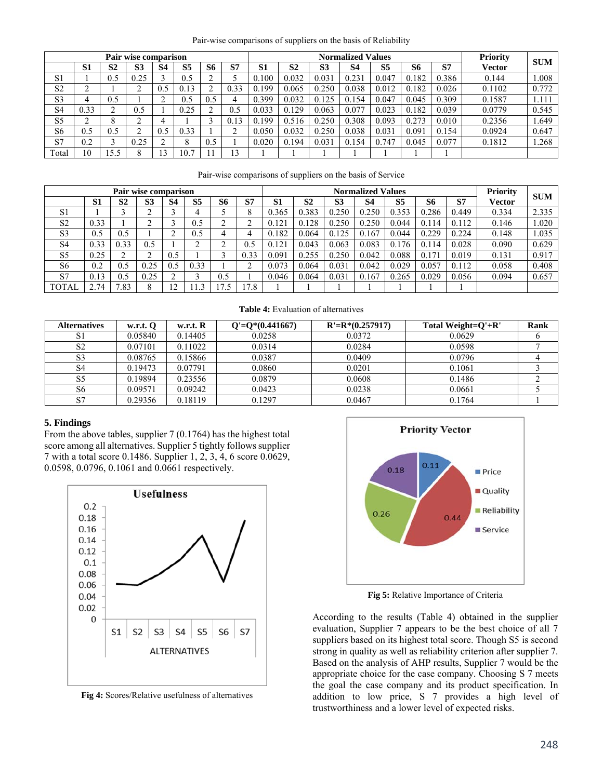| Pair-wise comparisons of suppliers on the basis of Reliability |  |  |  |
|----------------------------------------------------------------|--|--|--|
|                                                                |  |  |  |

|                | Pair wise comparison |           |                |     |                |           |           |       |                |                | <b>Normalized Values</b> |                |           |       | Priority | <b>SUM</b> |
|----------------|----------------------|-----------|----------------|-----|----------------|-----------|-----------|-------|----------------|----------------|--------------------------|----------------|-----------|-------|----------|------------|
|                | S <sub>1</sub>       | <b>S2</b> | S <sub>3</sub> | S4  | S <sub>5</sub> | <b>S6</b> | <b>S7</b> | S1    | S <sub>2</sub> | S <sub>3</sub> | <b>S4</b>                | S <sub>5</sub> | <b>S6</b> | S7    | Vector   |            |
| S1             |                      | 0.5       | 0.25           |     | 0.5            | ⌒         |           | 0.100 | 0.032          | 0.031          | 0.231                    | 0.047          | 0.182     | 0.386 | 0.144    | 1.008      |
| S <sub>2</sub> |                      |           |                | 0.5 | 0.13           | ◠         | 0.33      | 0.199 | 0.065          | 0.250          | 0.038                    | 0.012          | 0.182     | 0.026 | 0.1102   | 0.772      |
| S3             |                      | 0.5       |                | ◠   | 0.5            | 0.5       | 4         | 0.399 | 0.032          | 0.125          | 0.154                    | 0.047          | 0.045     | 0.309 | 0.1587   | 1.111      |
| S <sub>4</sub> | 0.33                 |           | 0.5            |     | 0.25           | ◠         | 0.5       | 0.033 | 0.129          | 0.063          | 0.077                    | 0.023          | 0.182     | 0.039 | 0.0779   | 0.545      |
| S5             | ◠                    |           | ⌒              |     |                | $\sim$    | 0.13      | 0.199 | 0.516          | 0.250          | 0.308                    | 0.093          | 0.273     | 0.010 | 0.2356   | 1.649      |
| S6             | 0.5                  | 0.5       | ◠              | 0.5 | 0.33           |           |           | 0.050 | 0.032          | 0.250          | 0.038                    | 0.031          | 0.091     | 0.154 | 0.0924   | 0.647      |
| S7             | 0.2                  |           | 0.25           | ◠   | 8              | 0.5       |           | 0.020 | 0.194          | 0.031          | 0.154                    | 0.747          | 0.045     | 0.077 | 0.1812   | 1.268      |
| Total          | 10                   | .5.5      |                | 13  | 10.7           |           | 13        |       |                |                |                          |                |           |       |          |            |

Pair-wise comparisons of suppliers on the basis of Service

|                | Pair wise comparison |                |                |     |                |     |      |                |       |                | <b>Normalized Values</b> |                |           |       | <b>Priority</b> | <b>SUM</b> |
|----------------|----------------------|----------------|----------------|-----|----------------|-----|------|----------------|-------|----------------|--------------------------|----------------|-----------|-------|-----------------|------------|
|                | S1                   | S <sub>2</sub> | S <sub>3</sub> | S4  | S <sub>5</sub> | S6  | S7   | S <sub>1</sub> | S2    | S <sub>3</sub> | S4                       | S <sub>5</sub> | S6        | S7    | Vector          |            |
| S <sub>1</sub> |                      |                |                |     |                |     |      | 0.365          | 0.383 | 0.250          | 0.250                    | 0.353          | 0.286     | 0.449 | 0.334           | 2.335      |
| S <sub>2</sub> | 0.33                 |                | ◠              |     | 0.5            | ◠   |      | 0.121          | 0.128 | 0.250          | 0.250                    | 0.044          | 0.1<br>14 | 0.112 | 0.146           | 1.020      |
| S <sub>3</sub> | 0.5                  | 0.5            |                | ◠   | 0.5            |     |      | 0.182          | 0.064 | 0.125          | 0.167                    | 0.044          | 0.229     | 0.224 | 0.148           | 1.035      |
| S <sub>4</sub> | 0.33                 | 0.33           | 0.5            |     | ◠              | ⌒   | 0.5  | 0.121          | 0.043 | 0.063          | 0.083                    | 0.176          | 14<br>0.1 | 0.028 | 0.090           | 0.629      |
| S <sub>5</sub> | 0.25                 |                | ◠              | 0.5 |                |     | 0.33 | 0.091          | 0.255 | 0.250          | 0.042                    | 0.088          | 0.171     | 0.019 | 0.131           | 0.917      |
| S <sub>6</sub> | 0.2                  | 0.5            | 0.25           | 0.5 | 0.33           |     |      | 0.073          | 0.064 | 0.031          | 0.042                    | 0.029          | 0.057     | 0.112 | 0.058           | 0.408      |
| S7             | 0.13                 | 0.5            | 0.25           |     |                | 0.5 |      | 0.046          | 0.064 | 0.031          | 0.167                    | 0.265          | 0.029     | 0.056 | 0.094           | 0.657      |
| TOTAL          | 2.74                 | .83            |                | ↑   | $\sim$         | د.  | 7.8  |                |       |                |                          |                |           |       |                 |            |

**Table 4:** Evaluation of alternatives

| <b>Alternatives</b> | w.r.t. 0 | w.r.t. R | $Q'=Q^*(0.441667)$ | $R' = R*(0.257917)$ | Total Weight= $O'+R'$ | Rank |
|---------------------|----------|----------|--------------------|---------------------|-----------------------|------|
| S.                  | 0.05840  | 0.14405  | 0.0258             | 0.0372              | 0.0629                |      |
| S2                  | 0.07101  | 0.11022  | 0.0314             | 0.0284              | 0.0598                |      |
| S <sub>3</sub>      | 0.08765  | 0.15866  | 0.0387             | 0.0409              | 0.0796                |      |
|                     | 0.19473  | 0.07791  | 0.0860             | 0.0201              | 0.1061                |      |
|                     | 0.19894  | 0.23556  | 0.0879             | 0.0608              | 0.1486                |      |
| S6                  | 0.09571  | 0.09242  | 0.0423             | 0.0238              | 0.0661                |      |
| C7                  | 0.29356  | 0.18119  | 0.1297             | 0.0467              | 0.1764                |      |

### **5. Findings**

From the above tables, supplier 7 (0.1764) has the highest total score among all alternatives. Supplier 5 tightly follows supplier 7 with a total score 0.1486. Supplier 1, 2, 3, 4, 6 score 0.0629, 0.0598, 0.0796, 0.1061 and 0.0661 respectively.



**Fig 4:** Scores/Relative usefulness of alternatives



**Fig 5:** Relative Importance of Criteria

According to the results (Table 4) obtained in the supplier evaluation, Supplier 7 appears to be the best choice of all 7 suppliers based on its highest total score. Though S5 is second strong in quality as well as reliability criterion after supplier 7. Based on the analysis of AHP results, Supplier 7 would be the appropriate choice for the case company. Choosing S 7 meets the goal the case company and its product specification. In addition to low price, S 7 provides a high level of trustworthiness and a lower level of expected risks.